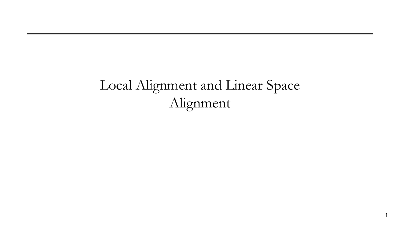# Local Alignment and Linear Space Alignment

1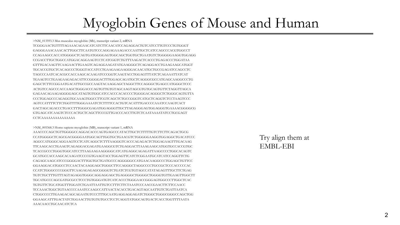### Myoglobin Genes of Mouse and Human

>NM\_013593.3 Mus musculus myoglobin (Mb), transcript variant 2, mRNA

TCGGGAACTGTTTTAGAAACAGAACATCATCTTCAACATCCAGAGGACTGTCATCCTTGTCCCTGTGGGT GAGGGAAACAAACACTTGGCTTCAATGTCCCAGGAGAAAGACCCAATTGCTCATCCAGCCCACGTGGCCT CCAGAAGCCACCATGGGGCTCAGTGATGGGGAGTGGCAGCTGGTGCTGAATGTCTGGGGGAAGGTGGAGG CCGACCTTGCTGGCCATGGACAGGAAGTCCTCATCGGTCTGTTTAAGACTCACCCTGAGACCCTGGATAA GTTTGACAAGTTCAAGAACTTGAAGTCAGAGGAAGATATGAAGGGCTCAGAGGACCTGAAGAAGCATGGT TGCACCGTGCTCACAGCCCTGGGTACCATCCTGAAGAAGAAGGGACAACATGCTGCCGAGATCCAGCCTC TAGCCCAATCACACGCCACCAAGCACAAGATCCCGGTCAAGTACCTGGAGTTTATCTCAGAAATTATCAT TGAAGTCCTGAAGAAGAGACATTCCGGGGACTTTGGAGCAGATGCTCAGGGCGCCATGAGCAAGGCCCTG GAGCTCTTCCGGAATGACATTGCCGCCAAGTACAAGGAGCTAGGCTTCCAGGGCTGAGCCATGGGCTCCC ACTGTCCAGCCCACCAAGCTGGGACCCAGTGTTGTGTAGCAAGTAGCGTGTGCAGTGTTCTAGGTTAGCA GAGAACAGAAGAGGGGAGCATAGTGTGGCATCCACCCACACCCCTGGGGACAGGGCTCTGGGCAGTGTTA CCCTGGAGCCCAGAGGTGCAAAGTGGCCTTCGTCAGCTCTGCCGGGTCATGCTCAGGTCTCCTAAGTCCC AGTCCATTTTCTTCTGGTTTTGGGAAAATCTCTTTTCCACTGTCACATTTGACCCCAAATCCAAGTCACT GACTAGCAGACCCTGACCTTTGGGCGAGATGGAGGGTTGCTTAGAGGGAGTGGAGGGTGAAAACGGGGCG GTGAGCATCAAGTCTCCCACTGCTCAGCTTCCCGTTGACCCACCTTGTCTCAATAAAATATCCTGCGAGT CCTCAAAAAAAAAAAAAAA

>NM\_005368.3 Homo sapiens myoglobin (MB), transcript variant 1, mRNA

AAACCCCAGCTGTTGGGGCCAGGACACCCAGTGAGCCCATACTTGCTCTTTTTGTCTTCTTCAGACTGCG CCATGGGGCTCAGCGACGGGGAATGGCAGTTGGTGCTGAACGTCTGGGGGAAGGTGGAGGCTGACATCCC AGGCCATGGGCAGGAAGTCCTCATCAGGCTCTTTAAGGGTCACCCAGAGACTCTGGAGAAGTTTGACAAG TTCAAGCACCTGAAGTCAGAGGACGAGATGAAGGCGTCTGAGGACTTAAAGAAGCATGGTGCCACCGTGC TCACCGCCCTGGGTGGCATCCTTAAGAAGAAGGGGCATCATGAGGCAGAGATTAAGCCCCTGGCACAGTC GCATGCCACCAAGCACAAGATCCCCGTGAAGTACCTGGAGTTCATCTCGGAATGCATCATCCAGGTTCTG CAGAGCAAGCATCCCGGGGACTTTGGTGCTGATGCCCAGGGGGCCATGAACAAGGCCCTGGAGCTGTTCC GGAAGGACATGGCCTCCAACTACAAGGAGCTGGGCTTCCAGGGCTAGGCCCCTGCCGCTCCCACCCCCAC CCATCTGGGCCCCGGGTTCAAGAGAGAGCGGGGTCTGATCTCGTGTAGCCATATAGAGTTTGCTTCTGAG TGTCTGCTTTGTTTAGTAGAGGTGGGCAGGAGGAGCTGAGGGGCTGGGGCTGGGGTGTTGAAGTTGGCTT TGCATGCCCAGCGATGCGCCTCCCTGTGGGATGTCATCACCCTGGGAACCGGGAGTGGCCCTTGGCTCAC TGTGTTCTGCATGGTTTGGATCTGAATTAATTGTCCTTTCTTCTAAATCCCAACCGAACTTCTTCCAACC TCCAAACTGGCTGTAACCCCAAATCCAAGCCATTAACTACACCTGACAGTAGCAATTGTCTGATTAATCA CTGGCCCCTTGAAGACAGCAGAATGTCCCTTTGCAATGAGGAGGAGATCTGGGCTGGGCGGGCCAGCTGG GGAAGCATTTGACTATCTGGAACTTGTGTGTGCCTCCTCAGGTATGGCAGTGACTCACCTGGTTTTAATA AAACAACCTGCAACATCTCA

Try align them at EMBL-EBI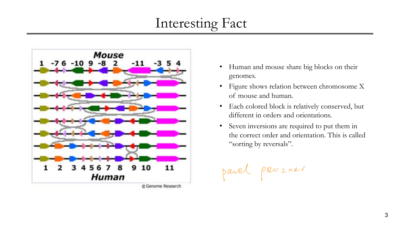# Interesting Fact



C Genome Research

- Human and mouse share big blocks on their genomes.
- Figure shows relation between chromosome X of mouse and human.
- Each colored block is relatively conserved, but different in orders and orientations.
- Seven inversions are required to put them in the correct order and orientation. This is called "sorting by reversals".

pavel pveozner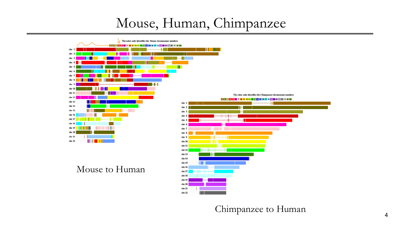#### Mouse, Human, Chimpanzee



Chimpanzee to Human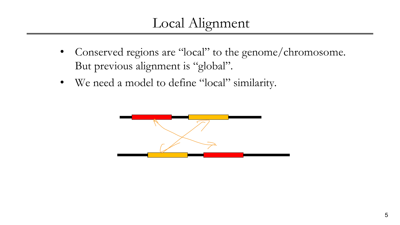## Local Alignment

- Conserved regions are "local" to the genome/chromosome. But previous alignment is "global".
- We need a model to define "local" similarity.

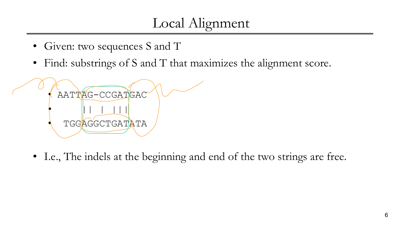# Local Alignment

- Given: two sequences S and T
- Find: substrings of S and T that maximizes the alignment score.



• I.e., The indels at the beginning and end of the two strings are free.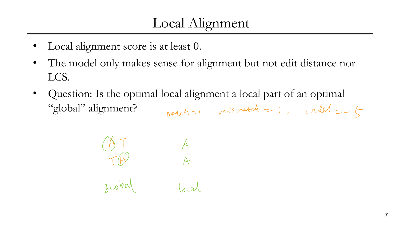# Local Alignment

- Local alignment score is at least 0.
- The model only makes sense for alignment but not edit distance nor LCS.
- Question: Is the optimal local alignment a local part of an optimal "global" alignment? match=1 mismatch =-1, indel =-5

$$
\begin{array}{ccc}\n\bullet & \bullet & A \\
\uparrow & & A \\
\downarrow & & A\n\end{array}
$$
\ngloled (10)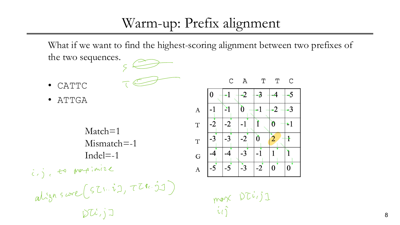### Warm-up: Prefix alignment

What if we want to find the highest-scoring alignment between two prefixes of the two sequences.

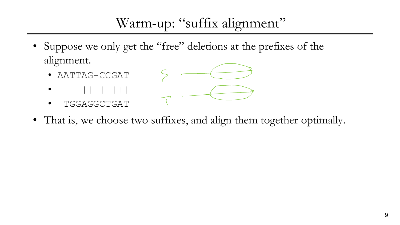# Warm-up: "suffix alignment"

- Suppose we only get the "free" deletions at the prefixes of the alignment.
	- AATTAG-CCGAT
	- $\bullet$   $||$   $||$   $||$   $||$   $||$
	- TGGAGGCTGAT



• That is, we choose two suffixes, and align them together optimally.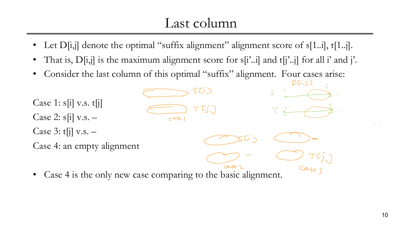#### Last column

- 
- That is,  $D[i,j]$  is the maximum alignment score for s[i'..i] and t[j'..j] for all i' and j'.
- Consider the last column of this optimal "suffix" alignment. Four cases arise:  $DC$ ;  $j$ ]



• Case 4 is the only new case comparing to the basic alignment.